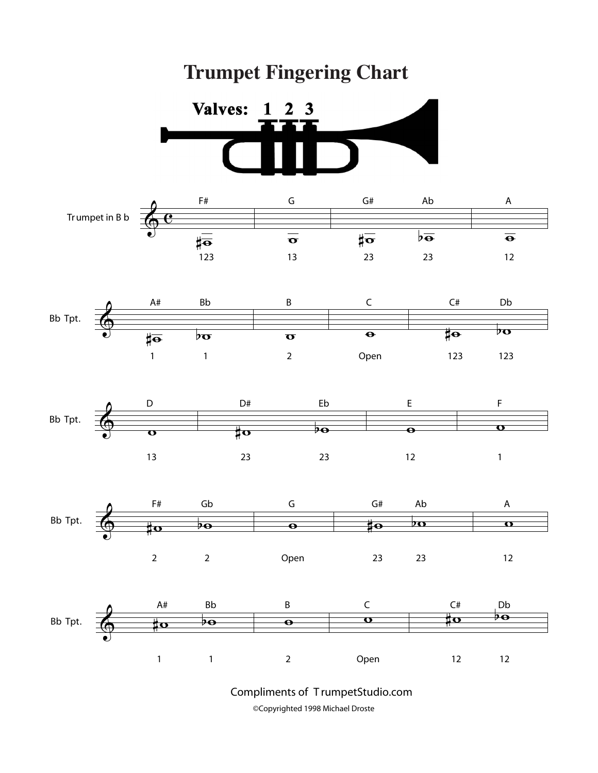## **Trumpet Fingering Chart**













Compliments of T rumpetStudio.com ©Copyrighted 1998 Michael Droste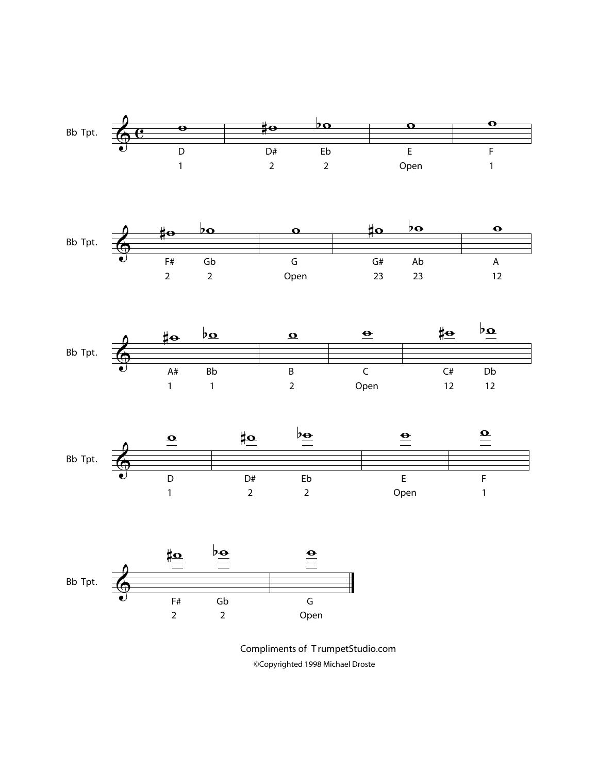

Compliments of T rumpetStudio.com ©Copyrighted 1998 Michael Droste